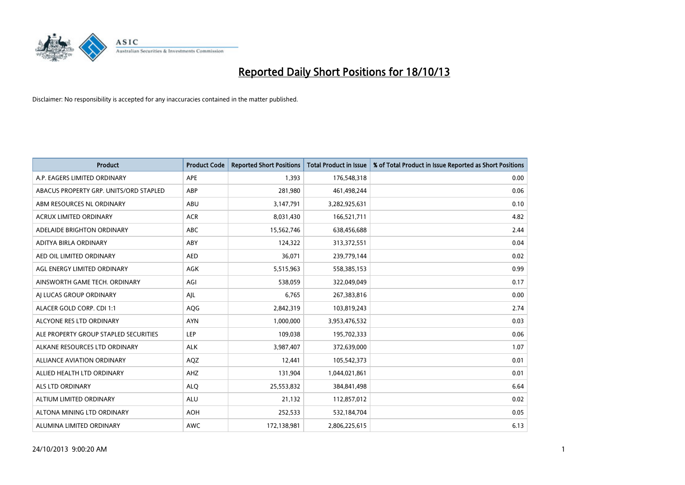

| <b>Product</b>                         | <b>Product Code</b> | <b>Reported Short Positions</b> | <b>Total Product in Issue</b> | % of Total Product in Issue Reported as Short Positions |
|----------------------------------------|---------------------|---------------------------------|-------------------------------|---------------------------------------------------------|
| A.P. EAGERS LIMITED ORDINARY           | <b>APE</b>          | 1,393                           | 176,548,318                   | 0.00                                                    |
| ABACUS PROPERTY GRP. UNITS/ORD STAPLED | ABP                 | 281,980                         | 461,498,244                   | 0.06                                                    |
| ABM RESOURCES NL ORDINARY              | ABU                 | 3,147,791                       | 3,282,925,631                 | 0.10                                                    |
| ACRUX LIMITED ORDINARY                 | <b>ACR</b>          | 8,031,430                       | 166,521,711                   | 4.82                                                    |
| ADELAIDE BRIGHTON ORDINARY             | <b>ABC</b>          | 15,562,746                      | 638,456,688                   | 2.44                                                    |
| ADITYA BIRLA ORDINARY                  | ABY                 | 124,322                         | 313,372,551                   | 0.04                                                    |
| AED OIL LIMITED ORDINARY               | <b>AED</b>          | 36.071                          | 239,779,144                   | 0.02                                                    |
| AGL ENERGY LIMITED ORDINARY            | <b>AGK</b>          | 5,515,963                       | 558,385,153                   | 0.99                                                    |
| AINSWORTH GAME TECH. ORDINARY          | AGI                 | 538,059                         | 322,049,049                   | 0.17                                                    |
| AI LUCAS GROUP ORDINARY                | AJL                 | 6,765                           | 267,383,816                   | 0.00                                                    |
| ALACER GOLD CORP. CDI 1:1              | AQG                 | 2,842,319                       | 103,819,243                   | 2.74                                                    |
| ALCYONE RES LTD ORDINARY               | <b>AYN</b>          | 1,000,000                       | 3,953,476,532                 | 0.03                                                    |
| ALE PROPERTY GROUP STAPLED SECURITIES  | <b>LEP</b>          | 109,038                         | 195,702,333                   | 0.06                                                    |
| ALKANE RESOURCES LTD ORDINARY          | <b>ALK</b>          | 3,987,407                       | 372,639,000                   | 1.07                                                    |
| <b>ALLIANCE AVIATION ORDINARY</b>      | AQZ                 | 12,441                          | 105,542,373                   | 0.01                                                    |
| ALLIED HEALTH LTD ORDINARY             | AHZ                 | 131,904                         | 1,044,021,861                 | 0.01                                                    |
| ALS LTD ORDINARY                       | <b>ALQ</b>          | 25,553,832                      | 384, 841, 498                 | 6.64                                                    |
| ALTIUM LIMITED ORDINARY                | <b>ALU</b>          | 21,132                          | 112,857,012                   | 0.02                                                    |
| ALTONA MINING LTD ORDINARY             | <b>AOH</b>          | 252,533                         | 532,184,704                   | 0.05                                                    |
| ALUMINA LIMITED ORDINARY               | <b>AWC</b>          | 172,138,981                     | 2,806,225,615                 | 6.13                                                    |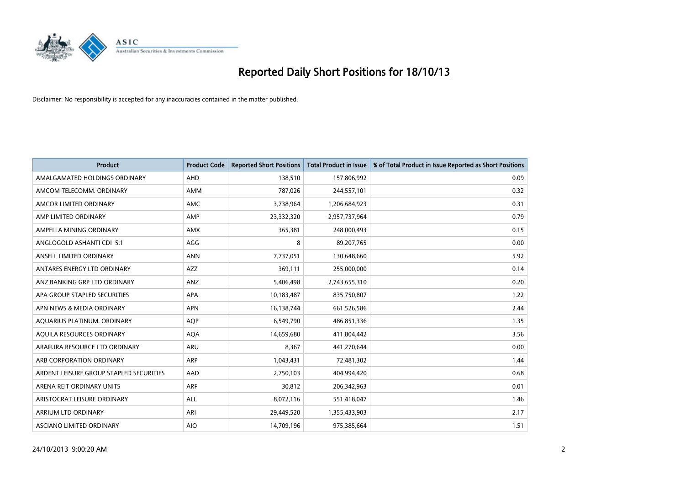

| <b>Product</b>                          | <b>Product Code</b> | <b>Reported Short Positions</b> | <b>Total Product in Issue</b> | % of Total Product in Issue Reported as Short Positions |
|-----------------------------------------|---------------------|---------------------------------|-------------------------------|---------------------------------------------------------|
| AMALGAMATED HOLDINGS ORDINARY           | AHD                 | 138,510                         | 157,806,992                   | 0.09                                                    |
| AMCOM TELECOMM. ORDINARY                | AMM                 | 787,026                         | 244,557,101                   | 0.32                                                    |
| AMCOR LIMITED ORDINARY                  | AMC                 | 3,738,964                       | 1,206,684,923                 | 0.31                                                    |
| AMP LIMITED ORDINARY                    | AMP                 | 23,332,320                      | 2,957,737,964                 | 0.79                                                    |
| AMPELLA MINING ORDINARY                 | <b>AMX</b>          | 365,381                         | 248,000,493                   | 0.15                                                    |
| ANGLOGOLD ASHANTI CDI 5:1               | AGG                 | 8                               | 89,207,765                    | 0.00                                                    |
| ANSELL LIMITED ORDINARY                 | <b>ANN</b>          | 7,737,051                       | 130,648,660                   | 5.92                                                    |
| ANTARES ENERGY LTD ORDINARY             | <b>AZZ</b>          | 369,111                         | 255,000,000                   | 0.14                                                    |
| ANZ BANKING GRP LTD ORDINARY            | ANZ                 | 5,406,498                       | 2,743,655,310                 | 0.20                                                    |
| APA GROUP STAPLED SECURITIES            | <b>APA</b>          | 10,183,487                      | 835,750,807                   | 1.22                                                    |
| APN NEWS & MEDIA ORDINARY               | <b>APN</b>          | 16,138,744                      | 661,526,586                   | 2.44                                                    |
| AQUARIUS PLATINUM. ORDINARY             | AQP                 | 6,549,790                       | 486,851,336                   | 1.35                                                    |
| AQUILA RESOURCES ORDINARY               | <b>AQA</b>          | 14,659,680                      | 411,804,442                   | 3.56                                                    |
| ARAFURA RESOURCE LTD ORDINARY           | <b>ARU</b>          | 8,367                           | 441,270,644                   | 0.00                                                    |
| ARB CORPORATION ORDINARY                | <b>ARP</b>          | 1,043,431                       | 72,481,302                    | 1.44                                                    |
| ARDENT LEISURE GROUP STAPLED SECURITIES | AAD                 | 2,750,103                       | 404,994,420                   | 0.68                                                    |
| ARENA REIT ORDINARY UNITS               | <b>ARF</b>          | 30,812                          | 206,342,963                   | 0.01                                                    |
| ARISTOCRAT LEISURE ORDINARY             | <b>ALL</b>          | 8,072,116                       | 551,418,047                   | 1.46                                                    |
| ARRIUM LTD ORDINARY                     | ARI                 | 29,449,520                      | 1,355,433,903                 | 2.17                                                    |
| ASCIANO LIMITED ORDINARY                | <b>AIO</b>          | 14,709,196                      | 975,385,664                   | 1.51                                                    |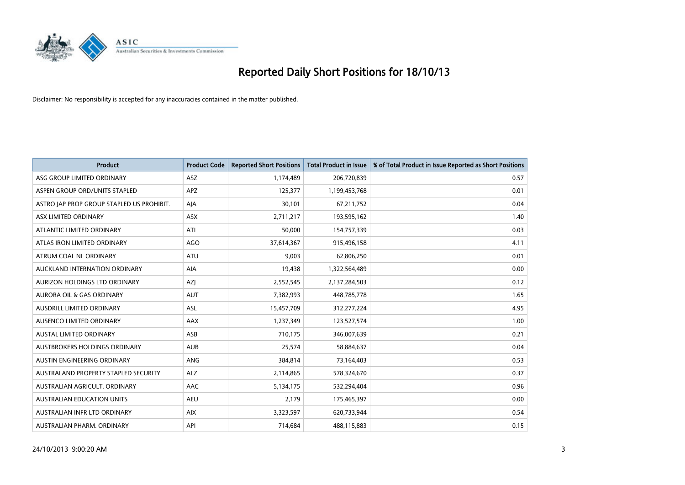

| <b>Product</b>                            | <b>Product Code</b> | <b>Reported Short Positions</b> | <b>Total Product in Issue</b> | % of Total Product in Issue Reported as Short Positions |
|-------------------------------------------|---------------------|---------------------------------|-------------------------------|---------------------------------------------------------|
| ASG GROUP LIMITED ORDINARY                | ASZ                 | 1,174,489                       | 206,720,839                   | 0.57                                                    |
| ASPEN GROUP ORD/UNITS STAPLED             | APZ                 | 125,377                         | 1,199,453,768                 | 0.01                                                    |
| ASTRO JAP PROP GROUP STAPLED US PROHIBIT. | AJA                 | 30,101                          | 67,211,752                    | 0.04                                                    |
| ASX LIMITED ORDINARY                      | ASX                 | 2,711,217                       | 193,595,162                   | 1.40                                                    |
| ATLANTIC LIMITED ORDINARY                 | ATI                 | 50,000                          | 154,757,339                   | 0.03                                                    |
| ATLAS IRON LIMITED ORDINARY               | AGO                 | 37,614,367                      | 915,496,158                   | 4.11                                                    |
| ATRUM COAL NL ORDINARY                    | ATU                 | 9,003                           | 62,806,250                    | 0.01                                                    |
| AUCKLAND INTERNATION ORDINARY             | AIA                 | 19,438                          | 1,322,564,489                 | 0.00                                                    |
| AURIZON HOLDINGS LTD ORDINARY             | AZJ                 | 2,552,545                       | 2,137,284,503                 | 0.12                                                    |
| <b>AURORA OIL &amp; GAS ORDINARY</b>      | <b>AUT</b>          | 7,382,993                       | 448,785,778                   | 1.65                                                    |
| AUSDRILL LIMITED ORDINARY                 | <b>ASL</b>          | 15,457,709                      | 312,277,224                   | 4.95                                                    |
| AUSENCO LIMITED ORDINARY                  | AAX                 | 1,237,349                       | 123,527,574                   | 1.00                                                    |
| <b>AUSTAL LIMITED ORDINARY</b>            | ASB                 | 710,175                         | 346,007,639                   | 0.21                                                    |
| AUSTBROKERS HOLDINGS ORDINARY             | <b>AUB</b>          | 25,574                          | 58,884,637                    | 0.04                                                    |
| AUSTIN ENGINEERING ORDINARY               | ANG                 | 384,814                         | 73,164,403                    | 0.53                                                    |
| AUSTRALAND PROPERTY STAPLED SECURITY      | <b>ALZ</b>          | 2,114,865                       | 578,324,670                   | 0.37                                                    |
| AUSTRALIAN AGRICULT. ORDINARY             | AAC                 | 5,134,175                       | 532,294,404                   | 0.96                                                    |
| AUSTRALIAN EDUCATION UNITS                | <b>AEU</b>          | 2,179                           | 175,465,397                   | 0.00                                                    |
| AUSTRALIAN INFR LTD ORDINARY              | <b>AIX</b>          | 3,323,597                       | 620,733,944                   | 0.54                                                    |
| AUSTRALIAN PHARM. ORDINARY                | API                 | 714,684                         | 488,115,883                   | 0.15                                                    |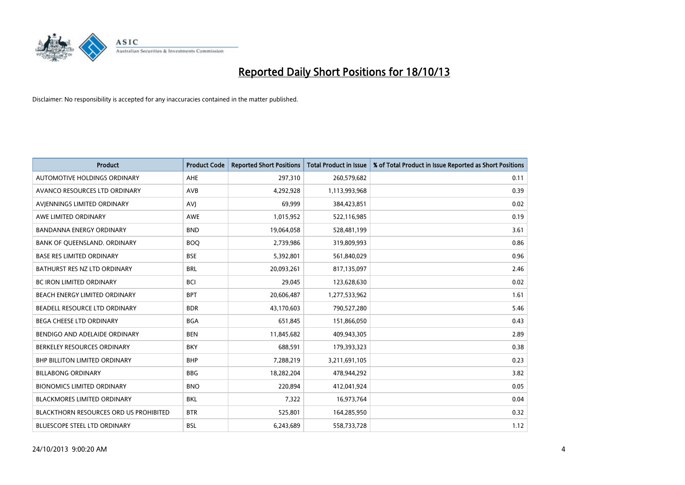

| <b>Product</b>                                | <b>Product Code</b> | <b>Reported Short Positions</b> | <b>Total Product in Issue</b> | % of Total Product in Issue Reported as Short Positions |
|-----------------------------------------------|---------------------|---------------------------------|-------------------------------|---------------------------------------------------------|
| AUTOMOTIVE HOLDINGS ORDINARY                  | AHE                 | 297,310                         | 260,579,682                   | 0.11                                                    |
| AVANCO RESOURCES LTD ORDINARY                 | AVB                 | 4,292,928                       | 1,113,993,968                 | 0.39                                                    |
| AVIENNINGS LIMITED ORDINARY                   | <b>AVI</b>          | 69,999                          | 384,423,851                   | 0.02                                                    |
| AWE LIMITED ORDINARY                          | <b>AWE</b>          | 1,015,952                       | 522,116,985                   | 0.19                                                    |
| <b>BANDANNA ENERGY ORDINARY</b>               | <b>BND</b>          | 19,064,058                      | 528,481,199                   | 3.61                                                    |
| BANK OF QUEENSLAND. ORDINARY                  | <b>BOO</b>          | 2,739,986                       | 319,809,993                   | 0.86                                                    |
| <b>BASE RES LIMITED ORDINARY</b>              | <b>BSE</b>          | 5,392,801                       | 561,840,029                   | 0.96                                                    |
| BATHURST RES NZ LTD ORDINARY                  | <b>BRL</b>          | 20,093,261                      | 817,135,097                   | 2.46                                                    |
| BC IRON LIMITED ORDINARY                      | <b>BCI</b>          | 29,045                          | 123,628,630                   | 0.02                                                    |
| BEACH ENERGY LIMITED ORDINARY                 | <b>BPT</b>          | 20,606,487                      | 1,277,533,962                 | 1.61                                                    |
| BEADELL RESOURCE LTD ORDINARY                 | <b>BDR</b>          | 43,170,603                      | 790,527,280                   | 5.46                                                    |
| <b>BEGA CHEESE LTD ORDINARY</b>               | <b>BGA</b>          | 651,845                         | 151,866,050                   | 0.43                                                    |
| BENDIGO AND ADELAIDE ORDINARY                 | <b>BEN</b>          | 11,845,682                      | 409,943,305                   | 2.89                                                    |
| BERKELEY RESOURCES ORDINARY                   | <b>BKY</b>          | 688,591                         | 179,393,323                   | 0.38                                                    |
| <b>BHP BILLITON LIMITED ORDINARY</b>          | <b>BHP</b>          | 7,288,219                       | 3,211,691,105                 | 0.23                                                    |
| <b>BILLABONG ORDINARY</b>                     | <b>BBG</b>          | 18,282,204                      | 478,944,292                   | 3.82                                                    |
| <b>BIONOMICS LIMITED ORDINARY</b>             | <b>BNO</b>          | 220,894                         | 412,041,924                   | 0.05                                                    |
| <b>BLACKMORES LIMITED ORDINARY</b>            | <b>BKL</b>          | 7,322                           | 16,973,764                    | 0.04                                                    |
| <b>BLACKTHORN RESOURCES ORD US PROHIBITED</b> | <b>BTR</b>          | 525,801                         | 164,285,950                   | 0.32                                                    |
| BLUESCOPE STEEL LTD ORDINARY                  | <b>BSL</b>          | 6,243,689                       | 558,733,728                   | 1.12                                                    |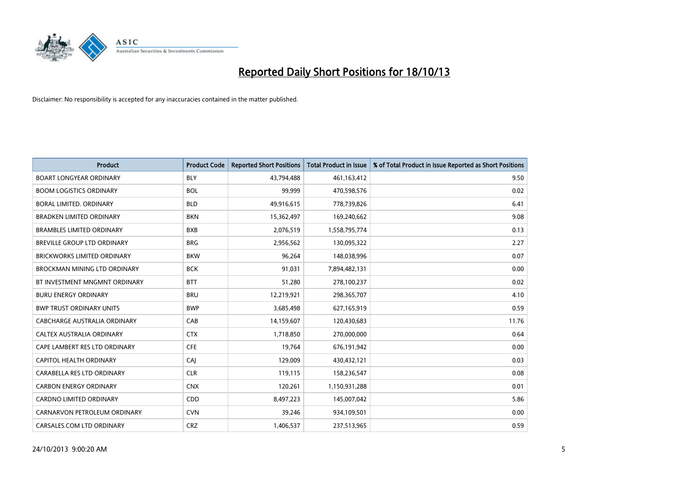

| <b>Product</b>                      | <b>Product Code</b> | <b>Reported Short Positions</b> | <b>Total Product in Issue</b> | % of Total Product in Issue Reported as Short Positions |
|-------------------------------------|---------------------|---------------------------------|-------------------------------|---------------------------------------------------------|
| <b>BOART LONGYEAR ORDINARY</b>      | <b>BLY</b>          | 43,794,488                      | 461,163,412                   | 9.50                                                    |
| <b>BOOM LOGISTICS ORDINARY</b>      | <b>BOL</b>          | 99,999                          | 470,598,576                   | 0.02                                                    |
| BORAL LIMITED, ORDINARY             | <b>BLD</b>          | 49,916,615                      | 778,739,826                   | 6.41                                                    |
| <b>BRADKEN LIMITED ORDINARY</b>     | <b>BKN</b>          | 15,362,497                      | 169,240,662                   | 9.08                                                    |
| <b>BRAMBLES LIMITED ORDINARY</b>    | <b>BXB</b>          | 2,076,519                       | 1,558,795,774                 | 0.13                                                    |
| <b>BREVILLE GROUP LTD ORDINARY</b>  | <b>BRG</b>          | 2,956,562                       | 130,095,322                   | 2.27                                                    |
| <b>BRICKWORKS LIMITED ORDINARY</b>  | <b>BKW</b>          | 96,264                          | 148,038,996                   | 0.07                                                    |
| <b>BROCKMAN MINING LTD ORDINARY</b> | <b>BCK</b>          | 91,031                          | 7,894,482,131                 | 0.00                                                    |
| BT INVESTMENT MNGMNT ORDINARY       | <b>BTT</b>          | 51,280                          | 278,100,237                   | 0.02                                                    |
| <b>BURU ENERGY ORDINARY</b>         | <b>BRU</b>          | 12,219,921                      | 298,365,707                   | 4.10                                                    |
| <b>BWP TRUST ORDINARY UNITS</b>     | <b>BWP</b>          | 3,685,498                       | 627,165,919                   | 0.59                                                    |
| CABCHARGE AUSTRALIA ORDINARY        | CAB                 | 14,159,607                      | 120,430,683                   | 11.76                                                   |
| CALTEX AUSTRALIA ORDINARY           | <b>CTX</b>          | 1,718,850                       | 270,000,000                   | 0.64                                                    |
| CAPE LAMBERT RES LTD ORDINARY       | <b>CFE</b>          | 19,764                          | 676,191,942                   | 0.00                                                    |
| <b>CAPITOL HEALTH ORDINARY</b>      | CAJ                 | 129,009                         | 430,432,121                   | 0.03                                                    |
| CARABELLA RES LTD ORDINARY          | <b>CLR</b>          | 119,115                         | 158,236,547                   | 0.08                                                    |
| <b>CARBON ENERGY ORDINARY</b>       | <b>CNX</b>          | 120,261                         | 1,150,931,288                 | 0.01                                                    |
| <b>CARDNO LIMITED ORDINARY</b>      | CDD                 | 8,497,223                       | 145,007,042                   | 5.86                                                    |
| CARNARVON PETROLEUM ORDINARY        | <b>CVN</b>          | 39,246                          | 934,109,501                   | 0.00                                                    |
| CARSALES.COM LTD ORDINARY           | <b>CRZ</b>          | 1,406,537                       | 237,513,965                   | 0.59                                                    |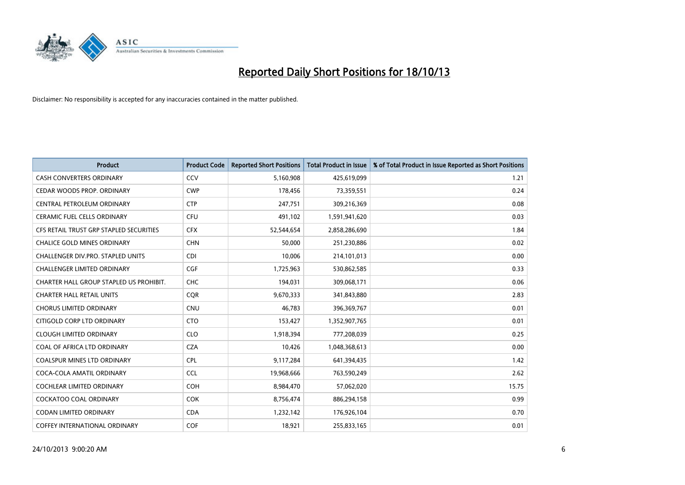

| <b>Product</b>                          | <b>Product Code</b> | <b>Reported Short Positions</b> | <b>Total Product in Issue</b> | % of Total Product in Issue Reported as Short Positions |
|-----------------------------------------|---------------------|---------------------------------|-------------------------------|---------------------------------------------------------|
| <b>CASH CONVERTERS ORDINARY</b>         | CCV                 | 5,160,908                       | 425,619,099                   | 1.21                                                    |
| CEDAR WOODS PROP. ORDINARY              | <b>CWP</b>          | 178,456                         | 73,359,551                    | 0.24                                                    |
| CENTRAL PETROLEUM ORDINARY              | <b>CTP</b>          | 247,751                         | 309,216,369                   | 0.08                                                    |
| CERAMIC FUEL CELLS ORDINARY             | <b>CFU</b>          | 491,102                         | 1,591,941,620                 | 0.03                                                    |
| CFS RETAIL TRUST GRP STAPLED SECURITIES | <b>CFX</b>          | 52,544,654                      | 2,858,286,690                 | 1.84                                                    |
| <b>CHALICE GOLD MINES ORDINARY</b>      | <b>CHN</b>          | 50,000                          | 251,230,886                   | 0.02                                                    |
| CHALLENGER DIV.PRO. STAPLED UNITS       | <b>CDI</b>          | 10.006                          | 214,101,013                   | 0.00                                                    |
| <b>CHALLENGER LIMITED ORDINARY</b>      | <b>CGF</b>          | 1,725,963                       | 530,862,585                   | 0.33                                                    |
| CHARTER HALL GROUP STAPLED US PROHIBIT. | <b>CHC</b>          | 194,031                         | 309,068,171                   | 0.06                                                    |
| <b>CHARTER HALL RETAIL UNITS</b>        | <b>COR</b>          | 9,670,333                       | 341,843,880                   | 2.83                                                    |
| <b>CHORUS LIMITED ORDINARY</b>          | <b>CNU</b>          | 46,783                          | 396,369,767                   | 0.01                                                    |
| CITIGOLD CORP LTD ORDINARY              | <b>CTO</b>          | 153,427                         | 1,352,907,765                 | 0.01                                                    |
| <b>CLOUGH LIMITED ORDINARY</b>          | <b>CLO</b>          | 1,918,394                       | 777,208,039                   | 0.25                                                    |
| COAL OF AFRICA LTD ORDINARY             | <b>CZA</b>          | 10.426                          | 1,048,368,613                 | 0.00                                                    |
| COALSPUR MINES LTD ORDINARY             | <b>CPL</b>          | 9,117,284                       | 641,394,435                   | 1.42                                                    |
| COCA-COLA AMATIL ORDINARY               | <b>CCL</b>          | 19,968,666                      | 763,590,249                   | 2.62                                                    |
| <b>COCHLEAR LIMITED ORDINARY</b>        | <b>COH</b>          | 8,984,470                       | 57,062,020                    | 15.75                                                   |
| COCKATOO COAL ORDINARY                  | <b>COK</b>          | 8,756,474                       | 886,294,158                   | 0.99                                                    |
| <b>CODAN LIMITED ORDINARY</b>           | <b>CDA</b>          | 1,232,142                       | 176,926,104                   | 0.70                                                    |
| COFFEY INTERNATIONAL ORDINARY           | COF                 | 18,921                          | 255,833,165                   | 0.01                                                    |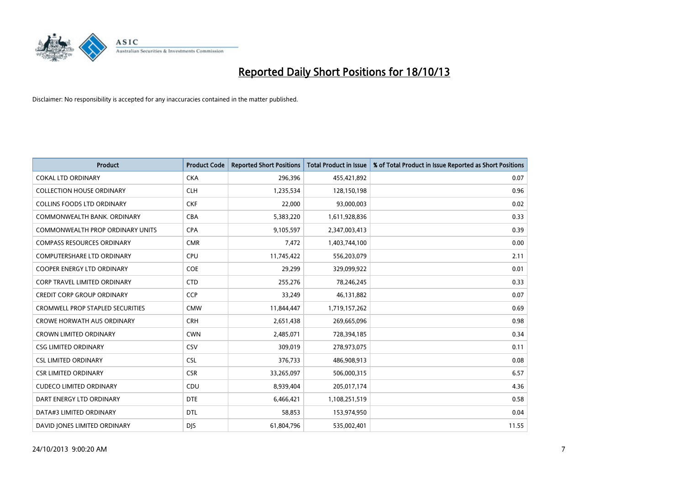

| Product                                 | <b>Product Code</b> | <b>Reported Short Positions</b> | <b>Total Product in Issue</b> | % of Total Product in Issue Reported as Short Positions |
|-----------------------------------------|---------------------|---------------------------------|-------------------------------|---------------------------------------------------------|
| <b>COKAL LTD ORDINARY</b>               | <b>CKA</b>          | 296,396                         | 455,421,892                   | 0.07                                                    |
| <b>COLLECTION HOUSE ORDINARY</b>        | <b>CLH</b>          | 1,235,534                       | 128,150,198                   | 0.96                                                    |
| <b>COLLINS FOODS LTD ORDINARY</b>       | <b>CKF</b>          | 22,000                          | 93,000,003                    | 0.02                                                    |
| COMMONWEALTH BANK, ORDINARY             | <b>CBA</b>          | 5,383,220                       | 1,611,928,836                 | 0.33                                                    |
| <b>COMMONWEALTH PROP ORDINARY UNITS</b> | <b>CPA</b>          | 9,105,597                       | 2,347,003,413                 | 0.39                                                    |
| <b>COMPASS RESOURCES ORDINARY</b>       | <b>CMR</b>          | 7,472                           | 1,403,744,100                 | 0.00                                                    |
| <b>COMPUTERSHARE LTD ORDINARY</b>       | <b>CPU</b>          | 11,745,422                      | 556,203,079                   | 2.11                                                    |
| <b>COOPER ENERGY LTD ORDINARY</b>       | <b>COE</b>          | 29,299                          | 329,099,922                   | 0.01                                                    |
| CORP TRAVEL LIMITED ORDINARY            | <b>CTD</b>          | 255,276                         | 78,246,245                    | 0.33                                                    |
| <b>CREDIT CORP GROUP ORDINARY</b>       | CCP                 | 33,249                          | 46,131,882                    | 0.07                                                    |
| <b>CROMWELL PROP STAPLED SECURITIES</b> | <b>CMW</b>          | 11,844,447                      | 1,719,157,262                 | 0.69                                                    |
| <b>CROWE HORWATH AUS ORDINARY</b>       | <b>CRH</b>          | 2,651,438                       | 269,665,096                   | 0.98                                                    |
| <b>CROWN LIMITED ORDINARY</b>           | <b>CWN</b>          | 2,485,071                       | 728,394,185                   | 0.34                                                    |
| <b>CSG LIMITED ORDINARY</b>             | CSV                 | 309,019                         | 278,973,075                   | 0.11                                                    |
| <b>CSL LIMITED ORDINARY</b>             | <b>CSL</b>          | 376,733                         | 486,908,913                   | 0.08                                                    |
| <b>CSR LIMITED ORDINARY</b>             | <b>CSR</b>          | 33,265,097                      | 506,000,315                   | 6.57                                                    |
| <b>CUDECO LIMITED ORDINARY</b>          | CDU                 | 8,939,404                       | 205,017,174                   | 4.36                                                    |
| DART ENERGY LTD ORDINARY                | <b>DTE</b>          | 6,466,421                       | 1,108,251,519                 | 0.58                                                    |
| DATA#3 LIMITED ORDINARY                 | <b>DTL</b>          | 58,853                          | 153,974,950                   | 0.04                                                    |
| DAVID JONES LIMITED ORDINARY            | <b>DJS</b>          | 61,804,796                      | 535,002,401                   | 11.55                                                   |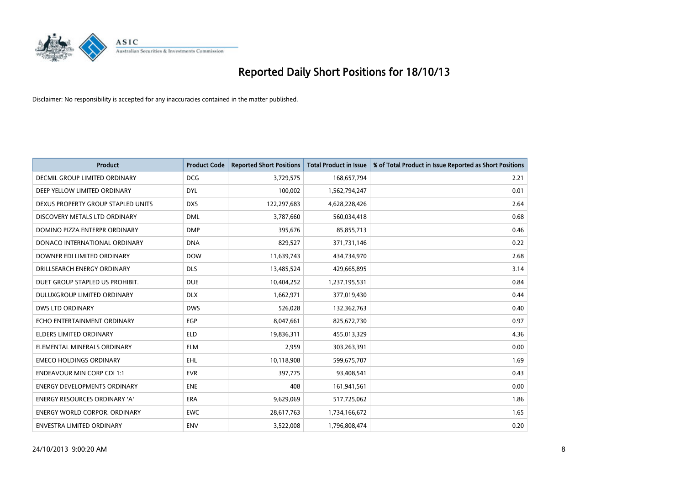

| <b>Product</b>                       | <b>Product Code</b> | <b>Reported Short Positions</b> | <b>Total Product in Issue</b> | % of Total Product in Issue Reported as Short Positions |
|--------------------------------------|---------------------|---------------------------------|-------------------------------|---------------------------------------------------------|
| DECMIL GROUP LIMITED ORDINARY        | <b>DCG</b>          | 3,729,575                       | 168,657,794                   | 2.21                                                    |
| DEEP YELLOW LIMITED ORDINARY         | <b>DYL</b>          | 100,002                         | 1,562,794,247                 | 0.01                                                    |
| DEXUS PROPERTY GROUP STAPLED UNITS   | <b>DXS</b>          | 122,297,683                     | 4,628,228,426                 | 2.64                                                    |
| DISCOVERY METALS LTD ORDINARY        | <b>DML</b>          | 3,787,660                       | 560,034,418                   | 0.68                                                    |
| DOMINO PIZZA ENTERPR ORDINARY        | <b>DMP</b>          | 395,676                         | 85,855,713                    | 0.46                                                    |
| DONACO INTERNATIONAL ORDINARY        | <b>DNA</b>          | 829,527                         | 371,731,146                   | 0.22                                                    |
| DOWNER EDI LIMITED ORDINARY          | <b>DOW</b>          | 11,639,743                      | 434,734,970                   | 2.68                                                    |
| DRILLSEARCH ENERGY ORDINARY          | <b>DLS</b>          | 13,485,524                      | 429,665,895                   | 3.14                                                    |
| DUET GROUP STAPLED US PROHIBIT.      | <b>DUE</b>          | 10,404,252                      | 1,237,195,531                 | 0.84                                                    |
| DULUXGROUP LIMITED ORDINARY          | <b>DLX</b>          | 1,662,971                       | 377,019,430                   | 0.44                                                    |
| DWS LTD ORDINARY                     | <b>DWS</b>          | 526,028                         | 132,362,763                   | 0.40                                                    |
| ECHO ENTERTAINMENT ORDINARY          | <b>EGP</b>          | 8,047,661                       | 825,672,730                   | 0.97                                                    |
| <b>ELDERS LIMITED ORDINARY</b>       | <b>ELD</b>          | 19,836,311                      | 455,013,329                   | 4.36                                                    |
| ELEMENTAL MINERALS ORDINARY          | <b>ELM</b>          | 2,959                           | 303,263,391                   | 0.00                                                    |
| <b>EMECO HOLDINGS ORDINARY</b>       | <b>EHL</b>          | 10,118,908                      | 599,675,707                   | 1.69                                                    |
| <b>ENDEAVOUR MIN CORP CDI 1:1</b>    | <b>EVR</b>          | 397,775                         | 93,408,541                    | 0.43                                                    |
| <b>ENERGY DEVELOPMENTS ORDINARY</b>  | <b>ENE</b>          | 408                             | 161,941,561                   | 0.00                                                    |
| ENERGY RESOURCES ORDINARY 'A'        | <b>ERA</b>          | 9,629,069                       | 517,725,062                   | 1.86                                                    |
| <b>ENERGY WORLD CORPOR, ORDINARY</b> | <b>EWC</b>          | 28,617,763                      | 1,734,166,672                 | 1.65                                                    |
| ENVESTRA LIMITED ORDINARY            | <b>ENV</b>          | 3,522,008                       | 1,796,808,474                 | 0.20                                                    |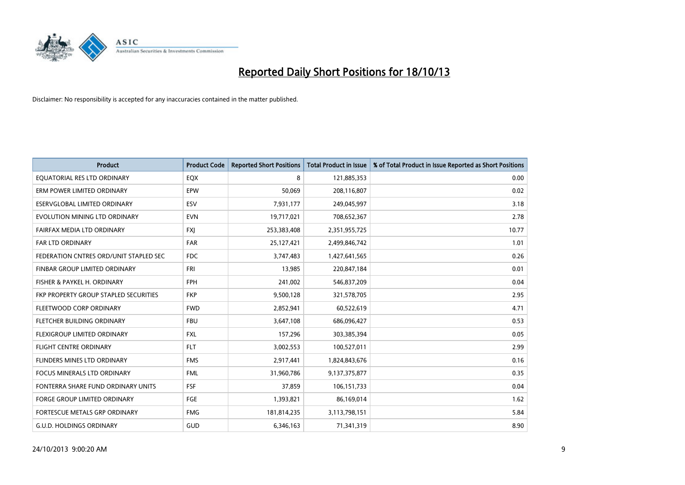

| <b>Product</b>                         | <b>Product Code</b> | <b>Reported Short Positions</b> | <b>Total Product in Issue</b> | % of Total Product in Issue Reported as Short Positions |
|----------------------------------------|---------------------|---------------------------------|-------------------------------|---------------------------------------------------------|
| EQUATORIAL RES LTD ORDINARY            | EQX                 | 8                               | 121,885,353                   | 0.00                                                    |
| ERM POWER LIMITED ORDINARY             | <b>EPW</b>          | 50,069                          | 208,116,807                   | 0.02                                                    |
| ESERVGLOBAL LIMITED ORDINARY           | ESV                 | 7,931,177                       | 249,045,997                   | 3.18                                                    |
| EVOLUTION MINING LTD ORDINARY          | <b>EVN</b>          | 19,717,021                      | 708,652,367                   | 2.78                                                    |
| FAIRFAX MEDIA LTD ORDINARY             | <b>FXI</b>          | 253,383,408                     | 2,351,955,725                 | 10.77                                                   |
| <b>FAR LTD ORDINARY</b>                | <b>FAR</b>          | 25,127,421                      | 2,499,846,742                 | 1.01                                                    |
| FEDERATION CNTRES ORD/UNIT STAPLED SEC | FDC                 | 3,747,483                       | 1,427,641,565                 | 0.26                                                    |
| FINBAR GROUP LIMITED ORDINARY          | <b>FRI</b>          | 13,985                          | 220,847,184                   | 0.01                                                    |
| FISHER & PAYKEL H. ORDINARY            | <b>FPH</b>          | 241,002                         | 546,837,209                   | 0.04                                                    |
| FKP PROPERTY GROUP STAPLED SECURITIES  | <b>FKP</b>          | 9,500,128                       | 321,578,705                   | 2.95                                                    |
| FLEETWOOD CORP ORDINARY                | <b>FWD</b>          | 2,852,941                       | 60,522,619                    | 4.71                                                    |
| FLETCHER BUILDING ORDINARY             | <b>FBU</b>          | 3,647,108                       | 686,096,427                   | 0.53                                                    |
| FLEXIGROUP LIMITED ORDINARY            | <b>FXL</b>          | 157,296                         | 303,385,394                   | 0.05                                                    |
| <b>FLIGHT CENTRE ORDINARY</b>          | <b>FLT</b>          | 3,002,553                       | 100,527,011                   | 2.99                                                    |
| FLINDERS MINES LTD ORDINARY            | <b>FMS</b>          | 2,917,441                       | 1,824,843,676                 | 0.16                                                    |
| FOCUS MINERALS LTD ORDINARY            | <b>FML</b>          | 31,960,786                      | 9,137,375,877                 | 0.35                                                    |
| FONTERRA SHARE FUND ORDINARY UNITS     | <b>FSF</b>          | 37,859                          | 106,151,733                   | 0.04                                                    |
| FORGE GROUP LIMITED ORDINARY           | FGE                 | 1,393,821                       | 86,169,014                    | 1.62                                                    |
| FORTESCUE METALS GRP ORDINARY          | <b>FMG</b>          | 181,814,235                     | 3,113,798,151                 | 5.84                                                    |
| <b>G.U.D. HOLDINGS ORDINARY</b>        | GUD                 | 6,346,163                       | 71,341,319                    | 8.90                                                    |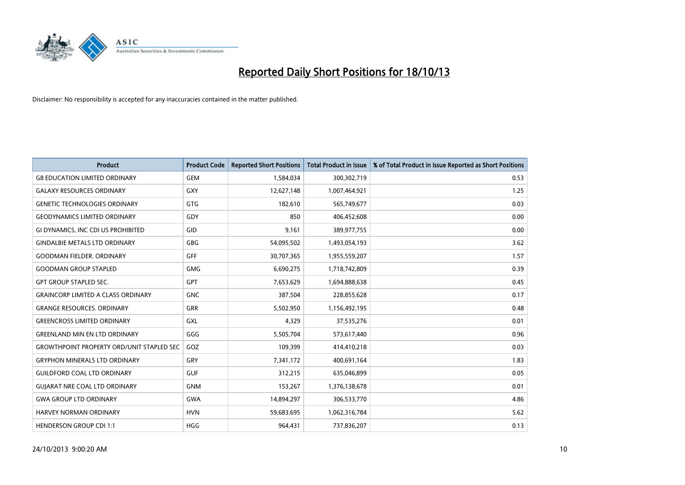

| <b>Product</b>                                   | <b>Product Code</b> | <b>Reported Short Positions</b> | <b>Total Product in Issue</b> | % of Total Product in Issue Reported as Short Positions |
|--------------------------------------------------|---------------------|---------------------------------|-------------------------------|---------------------------------------------------------|
| <b>G8 EDUCATION LIMITED ORDINARY</b>             | <b>GEM</b>          | 1,584,034                       | 300,302,719                   | 0.53                                                    |
| <b>GALAXY RESOURCES ORDINARY</b>                 | GXY                 | 12,627,148                      | 1,007,464,921                 | 1.25                                                    |
| <b>GENETIC TECHNOLOGIES ORDINARY</b>             | GTG                 | 182,610                         | 565,749,677                   | 0.03                                                    |
| <b>GEODYNAMICS LIMITED ORDINARY</b>              | GDY                 | 850                             | 406,452,608                   | 0.00                                                    |
| GI DYNAMICS, INC CDI US PROHIBITED               | GID                 | 9,161                           | 389,977,755                   | 0.00                                                    |
| <b>GINDALBIE METALS LTD ORDINARY</b>             | <b>GBG</b>          | 54,095,502                      | 1,493,054,193                 | 3.62                                                    |
| <b>GOODMAN FIELDER, ORDINARY</b>                 | <b>GFF</b>          | 30,707,365                      | 1,955,559,207                 | 1.57                                                    |
| <b>GOODMAN GROUP STAPLED</b>                     | GMG                 | 6,690,275                       | 1,718,742,809                 | 0.39                                                    |
| <b>GPT GROUP STAPLED SEC.</b>                    | <b>GPT</b>          | 7,653,629                       | 1,694,888,638                 | 0.45                                                    |
| <b>GRAINCORP LIMITED A CLASS ORDINARY</b>        | <b>GNC</b>          | 387,504                         | 228,855,628                   | 0.17                                                    |
| <b>GRANGE RESOURCES. ORDINARY</b>                | GRR                 | 5,502,950                       | 1,156,492,195                 | 0.48                                                    |
| <b>GREENCROSS LIMITED ORDINARY</b>               | <b>GXL</b>          | 4,329                           | 37,535,276                    | 0.01                                                    |
| <b>GREENLAND MIN EN LTD ORDINARY</b>             | GGG                 | 5,505,704                       | 573,617,440                   | 0.96                                                    |
| <b>GROWTHPOINT PROPERTY ORD/UNIT STAPLED SEC</b> | GOZ                 | 109,399                         | 414,410,218                   | 0.03                                                    |
| <b>GRYPHON MINERALS LTD ORDINARY</b>             | GRY                 | 7,341,172                       | 400,691,164                   | 1.83                                                    |
| <b>GUILDFORD COAL LTD ORDINARY</b>               | <b>GUF</b>          | 312,215                         | 635,046,899                   | 0.05                                                    |
| <b>GUIARAT NRE COAL LTD ORDINARY</b>             | <b>GNM</b>          | 153,267                         | 1,376,138,678                 | 0.01                                                    |
| <b>GWA GROUP LTD ORDINARY</b>                    | <b>GWA</b>          | 14,894,297                      | 306,533,770                   | 4.86                                                    |
| <b>HARVEY NORMAN ORDINARY</b>                    | <b>HVN</b>          | 59,683,695                      | 1,062,316,784                 | 5.62                                                    |
| <b>HENDERSON GROUP CDI 1:1</b>                   | <b>HGG</b>          | 964,431                         | 737,836,207                   | 0.13                                                    |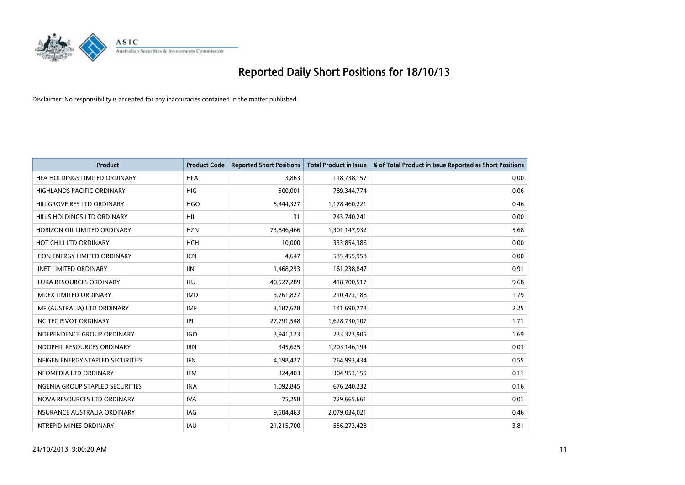

| Product                                  | <b>Product Code</b> | <b>Reported Short Positions</b> | <b>Total Product in Issue</b> | % of Total Product in Issue Reported as Short Positions |
|------------------------------------------|---------------------|---------------------------------|-------------------------------|---------------------------------------------------------|
| HFA HOLDINGS LIMITED ORDINARY            | <b>HFA</b>          | 3.863                           | 118,738,157                   | 0.00                                                    |
| HIGHLANDS PACIFIC ORDINARY               | <b>HIG</b>          | 500,001                         | 789,344,774                   | 0.06                                                    |
| HILLGROVE RES LTD ORDINARY               | <b>HGO</b>          | 5,444,327                       | 1,178,460,221                 | 0.46                                                    |
| HILLS HOLDINGS LTD ORDINARY              | <b>HIL</b>          | 31                              | 243,740,241                   | 0.00                                                    |
| HORIZON OIL LIMITED ORDINARY             | <b>HZN</b>          | 73,846,466                      | 1,301,147,932                 | 5.68                                                    |
| HOT CHILI LTD ORDINARY                   | <b>HCH</b>          | 10,000                          | 333,854,386                   | 0.00                                                    |
| <b>ICON ENERGY LIMITED ORDINARY</b>      | <b>ICN</b>          | 4,647                           | 535,455,958                   | 0.00                                                    |
| <b>IINET LIMITED ORDINARY</b>            | <b>IIN</b>          | 1,468,293                       | 161,238,847                   | 0.91                                                    |
| <b>ILUKA RESOURCES ORDINARY</b>          | <b>ILU</b>          | 40,527,289                      | 418,700,517                   | 9.68                                                    |
| <b>IMDEX LIMITED ORDINARY</b>            | <b>IMD</b>          | 3,761,827                       | 210,473,188                   | 1.79                                                    |
| IMF (AUSTRALIA) LTD ORDINARY             | <b>IMF</b>          | 3,187,678                       | 141,690,778                   | 2.25                                                    |
| <b>INCITEC PIVOT ORDINARY</b>            | IPL                 | 27,791,548                      | 1,628,730,107                 | 1.71                                                    |
| INDEPENDENCE GROUP ORDINARY              | <b>IGO</b>          | 3,941,123                       | 233,323,905                   | 1.69                                                    |
| <b>INDOPHIL RESOURCES ORDINARY</b>       | <b>IRN</b>          | 345,625                         | 1,203,146,194                 | 0.03                                                    |
| <b>INFIGEN ENERGY STAPLED SECURITIES</b> | <b>IFN</b>          | 4,198,427                       | 764,993,434                   | 0.55                                                    |
| <b>INFOMEDIA LTD ORDINARY</b>            | IFM                 | 324,403                         | 304,953,155                   | 0.11                                                    |
| <b>INGENIA GROUP STAPLED SECURITIES</b>  | <b>INA</b>          | 1,092,845                       | 676,240,232                   | 0.16                                                    |
| INOVA RESOURCES LTD ORDINARY             | <b>IVA</b>          | 75,258                          | 729,665,661                   | 0.01                                                    |
| <b>INSURANCE AUSTRALIA ORDINARY</b>      | <b>IAG</b>          | 9,504,463                       | 2,079,034,021                 | 0.46                                                    |
| <b>INTREPID MINES ORDINARY</b>           | IAU                 | 21,215,700                      | 556,273,428                   | 3.81                                                    |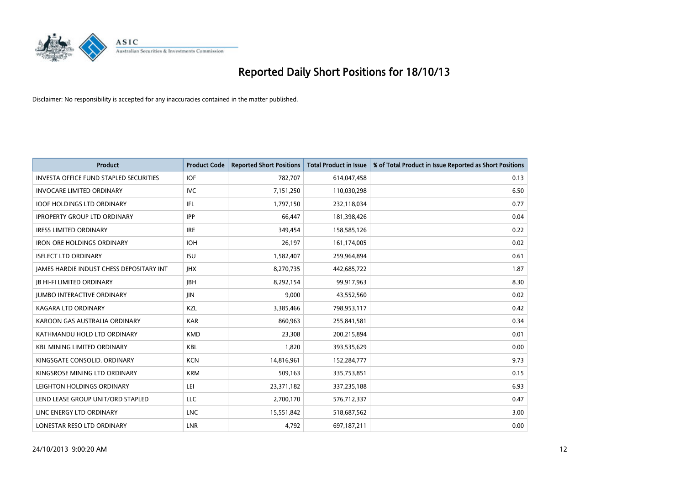

| <b>Product</b>                                | <b>Product Code</b> | <b>Reported Short Positions</b> | <b>Total Product in Issue</b> | % of Total Product in Issue Reported as Short Positions |
|-----------------------------------------------|---------------------|---------------------------------|-------------------------------|---------------------------------------------------------|
| <b>INVESTA OFFICE FUND STAPLED SECURITIES</b> | <b>IOF</b>          | 782,707                         | 614,047,458                   | 0.13                                                    |
| <b>INVOCARE LIMITED ORDINARY</b>              | <b>IVC</b>          | 7,151,250                       | 110,030,298                   | 6.50                                                    |
| <b>IOOF HOLDINGS LTD ORDINARY</b>             | IFL                 | 1,797,150                       | 232,118,034                   | 0.77                                                    |
| <b>IPROPERTY GROUP LTD ORDINARY</b>           | <b>IPP</b>          | 66,447                          | 181,398,426                   | 0.04                                                    |
| <b>IRESS LIMITED ORDINARY</b>                 | <b>IRE</b>          | 349,454                         | 158,585,126                   | 0.22                                                    |
| <b>IRON ORE HOLDINGS ORDINARY</b>             | <b>IOH</b>          | 26,197                          | 161,174,005                   | 0.02                                                    |
| <b>ISELECT LTD ORDINARY</b>                   | <b>ISU</b>          | 1,582,407                       | 259,964,894                   | 0.61                                                    |
| JAMES HARDIE INDUST CHESS DEPOSITARY INT      | <b>IHX</b>          | 8,270,735                       | 442,685,722                   | 1.87                                                    |
| <b>JB HI-FI LIMITED ORDINARY</b>              | <b>JBH</b>          | 8,292,154                       | 99,917,963                    | 8.30                                                    |
| <b>JUMBO INTERACTIVE ORDINARY</b>             | JIN                 | 9,000                           | 43,552,560                    | 0.02                                                    |
| KAGARA LTD ORDINARY                           | KZL                 | 3,385,466                       | 798,953,117                   | 0.42                                                    |
| KAROON GAS AUSTRALIA ORDINARY                 | <b>KAR</b>          | 860,963                         | 255,841,581                   | 0.34                                                    |
| KATHMANDU HOLD LTD ORDINARY                   | <b>KMD</b>          | 23,308                          | 200,215,894                   | 0.01                                                    |
| <b>KBL MINING LIMITED ORDINARY</b>            | KBL                 | 1,820                           | 393,535,629                   | 0.00                                                    |
| KINGSGATE CONSOLID. ORDINARY                  | <b>KCN</b>          | 14,816,961                      | 152,284,777                   | 9.73                                                    |
| KINGSROSE MINING LTD ORDINARY                 | <b>KRM</b>          | 509,163                         | 335,753,851                   | 0.15                                                    |
| LEIGHTON HOLDINGS ORDINARY                    | LEI                 | 23,371,182                      | 337,235,188                   | 6.93                                                    |
| LEND LEASE GROUP UNIT/ORD STAPLED             | <b>LLC</b>          | 2,700,170                       | 576,712,337                   | 0.47                                                    |
| LINC ENERGY LTD ORDINARY                      | <b>LNC</b>          | 15,551,842                      | 518,687,562                   | 3.00                                                    |
| LONESTAR RESO LTD ORDINARY                    | <b>LNR</b>          | 4,792                           | 697,187,211                   | 0.00                                                    |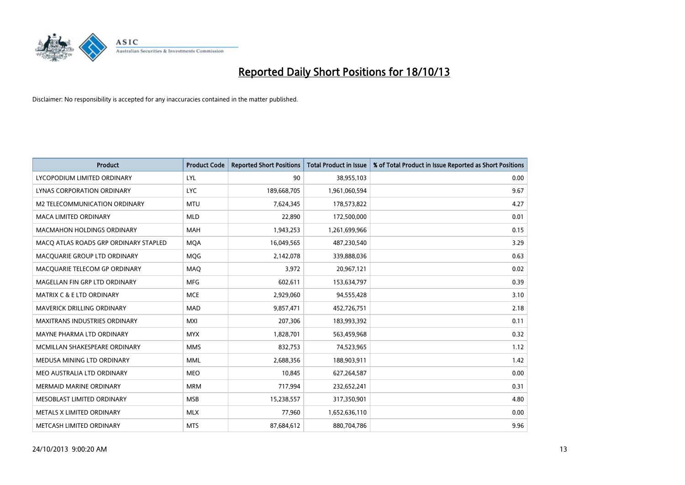

| <b>Product</b>                        | <b>Product Code</b> | <b>Reported Short Positions</b> | <b>Total Product in Issue</b> | % of Total Product in Issue Reported as Short Positions |
|---------------------------------------|---------------------|---------------------------------|-------------------------------|---------------------------------------------------------|
| LYCOPODIUM LIMITED ORDINARY           | LYL                 | 90                              | 38,955,103                    | 0.00                                                    |
| LYNAS CORPORATION ORDINARY            | <b>LYC</b>          | 189,668,705                     | 1,961,060,594                 | 9.67                                                    |
| <b>M2 TELECOMMUNICATION ORDINARY</b>  | <b>MTU</b>          | 7,624,345                       | 178,573,822                   | 4.27                                                    |
| MACA LIMITED ORDINARY                 | <b>MLD</b>          | 22,890                          | 172,500,000                   | 0.01                                                    |
| <b>MACMAHON HOLDINGS ORDINARY</b>     | <b>MAH</b>          | 1,943,253                       | 1,261,699,966                 | 0.15                                                    |
| MACO ATLAS ROADS GRP ORDINARY STAPLED | <b>MOA</b>          | 16,049,565                      | 487,230,540                   | 3.29                                                    |
| MACQUARIE GROUP LTD ORDINARY          | MQG                 | 2,142,078                       | 339,888,036                   | 0.63                                                    |
| MACQUARIE TELECOM GP ORDINARY         | MAQ                 | 3,972                           | 20,967,121                    | 0.02                                                    |
| MAGELLAN FIN GRP LTD ORDINARY         | <b>MFG</b>          | 602,611                         | 153,634,797                   | 0.39                                                    |
| <b>MATRIX C &amp; E LTD ORDINARY</b>  | <b>MCE</b>          | 2,929,060                       | 94,555,428                    | 3.10                                                    |
| MAVERICK DRILLING ORDINARY            | <b>MAD</b>          | 9,857,471                       | 452,726,751                   | 2.18                                                    |
| <b>MAXITRANS INDUSTRIES ORDINARY</b>  | MXI                 | 207,306                         | 183,993,392                   | 0.11                                                    |
| MAYNE PHARMA LTD ORDINARY             | <b>MYX</b>          | 1,828,701                       | 563,459,968                   | 0.32                                                    |
| MCMILLAN SHAKESPEARE ORDINARY         | <b>MMS</b>          | 832,753                         | 74,523,965                    | 1.12                                                    |
| MEDUSA MINING LTD ORDINARY            | <b>MML</b>          | 2,688,356                       | 188,903,911                   | 1.42                                                    |
| MEO AUSTRALIA LTD ORDINARY            | <b>MEO</b>          | 10,845                          | 627,264,587                   | 0.00                                                    |
| MERMAID MARINE ORDINARY               | <b>MRM</b>          | 717,994                         | 232,652,241                   | 0.31                                                    |
| MESOBLAST LIMITED ORDINARY            | <b>MSB</b>          | 15,238,557                      | 317,350,901                   | 4.80                                                    |
| METALS X LIMITED ORDINARY             | <b>MLX</b>          | 77,960                          | 1,652,636,110                 | 0.00                                                    |
| METCASH LIMITED ORDINARY              | <b>MTS</b>          | 87,684,612                      | 880,704,786                   | 9.96                                                    |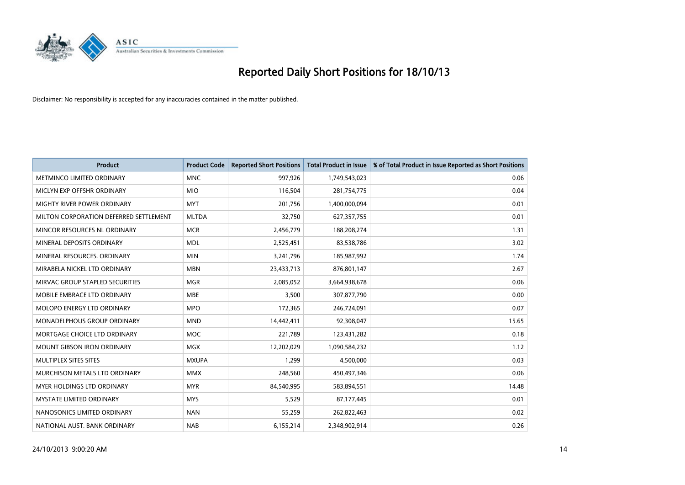

| <b>Product</b>                         | <b>Product Code</b> | <b>Reported Short Positions</b> | <b>Total Product in Issue</b> | % of Total Product in Issue Reported as Short Positions |
|----------------------------------------|---------------------|---------------------------------|-------------------------------|---------------------------------------------------------|
| METMINCO LIMITED ORDINARY              | <b>MNC</b>          | 997,926                         | 1,749,543,023                 | 0.06                                                    |
| MICLYN EXP OFFSHR ORDINARY             | <b>MIO</b>          | 116,504                         | 281,754,775                   | 0.04                                                    |
| MIGHTY RIVER POWER ORDINARY            | <b>MYT</b>          | 201,756                         | 1,400,000,094                 | 0.01                                                    |
| MILTON CORPORATION DEFERRED SETTLEMENT | <b>MLTDA</b>        | 32,750                          | 627,357,755                   | 0.01                                                    |
| MINCOR RESOURCES NL ORDINARY           | <b>MCR</b>          | 2,456,779                       | 188,208,274                   | 1.31                                                    |
| MINERAL DEPOSITS ORDINARY              | <b>MDL</b>          | 2,525,451                       | 83,538,786                    | 3.02                                                    |
| MINERAL RESOURCES, ORDINARY            | <b>MIN</b>          | 3,241,796                       | 185,987,992                   | 1.74                                                    |
| MIRABELA NICKEL LTD ORDINARY           | <b>MBN</b>          | 23,433,713                      | 876,801,147                   | 2.67                                                    |
| MIRVAC GROUP STAPLED SECURITIES        | <b>MGR</b>          | 2,085,052                       | 3,664,938,678                 | 0.06                                                    |
| MOBILE EMBRACE LTD ORDINARY            | <b>MBE</b>          | 3,500                           | 307,877,790                   | 0.00                                                    |
| MOLOPO ENERGY LTD ORDINARY             | <b>MPO</b>          | 172,365                         | 246,724,091                   | 0.07                                                    |
| <b>MONADELPHOUS GROUP ORDINARY</b>     | <b>MND</b>          | 14,442,411                      | 92,308,047                    | 15.65                                                   |
| MORTGAGE CHOICE LTD ORDINARY           | <b>MOC</b>          | 221,789                         | 123,431,282                   | 0.18                                                    |
| <b>MOUNT GIBSON IRON ORDINARY</b>      | <b>MGX</b>          | 12,202,029                      | 1,090,584,232                 | 1.12                                                    |
| MULTIPLEX SITES SITES                  | <b>MXUPA</b>        | 1,299                           | 4,500,000                     | 0.03                                                    |
| MURCHISON METALS LTD ORDINARY          | <b>MMX</b>          | 248,560                         | 450,497,346                   | 0.06                                                    |
| MYER HOLDINGS LTD ORDINARY             | <b>MYR</b>          | 84,540,995                      | 583,894,551                   | 14.48                                                   |
| <b>MYSTATE LIMITED ORDINARY</b>        | <b>MYS</b>          | 5,529                           | 87,177,445                    | 0.01                                                    |
| NANOSONICS LIMITED ORDINARY            | <b>NAN</b>          | 55,259                          | 262,822,463                   | 0.02                                                    |
| NATIONAL AUST. BANK ORDINARY           | <b>NAB</b>          | 6,155,214                       | 2,348,902,914                 | 0.26                                                    |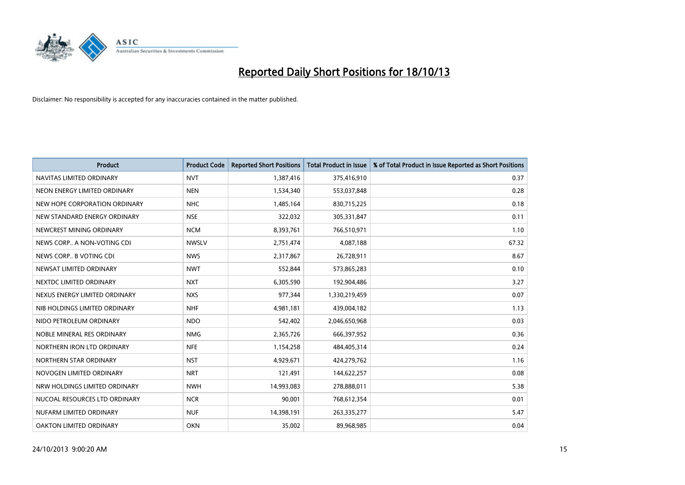

| <b>Product</b>                | <b>Product Code</b> | <b>Reported Short Positions</b> | <b>Total Product in Issue</b> | % of Total Product in Issue Reported as Short Positions |
|-------------------------------|---------------------|---------------------------------|-------------------------------|---------------------------------------------------------|
| NAVITAS LIMITED ORDINARY      | <b>NVT</b>          | 1,387,416                       | 375,416,910                   | 0.37                                                    |
| NEON ENERGY LIMITED ORDINARY  | <b>NEN</b>          | 1,534,340                       | 553,037,848                   | 0.28                                                    |
| NEW HOPE CORPORATION ORDINARY | NHC                 | 1,485,164                       | 830,715,225                   | 0.18                                                    |
| NEW STANDARD ENERGY ORDINARY  | <b>NSE</b>          | 322,032                         | 305,331,847                   | 0.11                                                    |
| NEWCREST MINING ORDINARY      | <b>NCM</b>          | 8,393,761                       | 766,510,971                   | 1.10                                                    |
| NEWS CORP A NON-VOTING CDI    | <b>NWSLV</b>        | 2,751,474                       | 4,087,188                     | 67.32                                                   |
| NEWS CORP B VOTING CDI        | <b>NWS</b>          | 2,317,867                       | 26,728,911                    | 8.67                                                    |
| NEWSAT LIMITED ORDINARY       | <b>NWT</b>          | 552,844                         | 573,865,283                   | 0.10                                                    |
| NEXTDC LIMITED ORDINARY       | <b>NXT</b>          | 6,305,590                       | 192,904,486                   | 3.27                                                    |
| NEXUS ENERGY LIMITED ORDINARY | <b>NXS</b>          | 977,344                         | 1,330,219,459                 | 0.07                                                    |
| NIB HOLDINGS LIMITED ORDINARY | <b>NHF</b>          | 4,981,181                       | 439,004,182                   | 1.13                                                    |
| NIDO PETROLEUM ORDINARY       | <b>NDO</b>          | 542,402                         | 2,046,650,968                 | 0.03                                                    |
| NOBLE MINERAL RES ORDINARY    | <b>NMG</b>          | 2,365,726                       | 666,397,952                   | 0.36                                                    |
| NORTHERN IRON LTD ORDINARY    | <b>NFE</b>          | 1,154,258                       | 484,405,314                   | 0.24                                                    |
| NORTHERN STAR ORDINARY        | <b>NST</b>          | 4,929,671                       | 424,279,762                   | 1.16                                                    |
| NOVOGEN LIMITED ORDINARY      | <b>NRT</b>          | 121,491                         | 144,622,257                   | 0.08                                                    |
| NRW HOLDINGS LIMITED ORDINARY | <b>NWH</b>          | 14,993,083                      | 278,888,011                   | 5.38                                                    |
| NUCOAL RESOURCES LTD ORDINARY | <b>NCR</b>          | 90,001                          | 768,612,354                   | 0.01                                                    |
| NUFARM LIMITED ORDINARY       | <b>NUF</b>          | 14,398,191                      | 263,335,277                   | 5.47                                                    |
| OAKTON LIMITED ORDINARY       | <b>OKN</b>          | 35,002                          | 89,968,985                    | 0.04                                                    |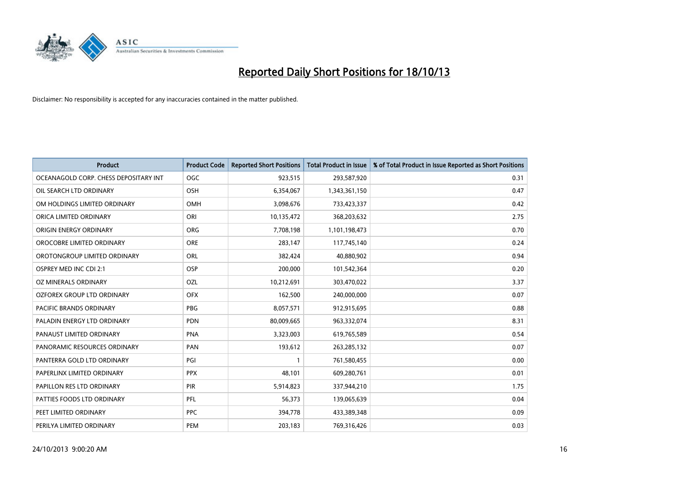

| <b>Product</b>                        | <b>Product Code</b> | <b>Reported Short Positions</b> | <b>Total Product in Issue</b> | % of Total Product in Issue Reported as Short Positions |
|---------------------------------------|---------------------|---------------------------------|-------------------------------|---------------------------------------------------------|
| OCEANAGOLD CORP. CHESS DEPOSITARY INT | <b>OGC</b>          | 923,515                         | 293,587,920                   | 0.31                                                    |
| OIL SEARCH LTD ORDINARY               | OSH                 | 6,354,067                       | 1,343,361,150                 | 0.47                                                    |
| OM HOLDINGS LIMITED ORDINARY          | <b>OMH</b>          | 3,098,676                       | 733,423,337                   | 0.42                                                    |
| ORICA LIMITED ORDINARY                | ORI                 | 10,135,472                      | 368,203,632                   | 2.75                                                    |
| ORIGIN ENERGY ORDINARY                | <b>ORG</b>          | 7,708,198                       | 1,101,198,473                 | 0.70                                                    |
| OROCOBRE LIMITED ORDINARY             | ORE                 | 283,147                         | 117,745,140                   | 0.24                                                    |
| OROTONGROUP LIMITED ORDINARY          | ORL                 | 382,424                         | 40,880,902                    | 0.94                                                    |
| OSPREY MED INC CDI 2:1                | <b>OSP</b>          | 200,000                         | 101,542,364                   | 0.20                                                    |
| OZ MINERALS ORDINARY                  | OZL                 | 10,212,691                      | 303,470,022                   | 3.37                                                    |
| OZFOREX GROUP LTD ORDINARY            | <b>OFX</b>          | 162,500                         | 240,000,000                   | 0.07                                                    |
| PACIFIC BRANDS ORDINARY               | <b>PBG</b>          | 8,057,571                       | 912,915,695                   | 0.88                                                    |
| PALADIN ENERGY LTD ORDINARY           | <b>PDN</b>          | 80,009,665                      | 963,332,074                   | 8.31                                                    |
| PANAUST LIMITED ORDINARY              | <b>PNA</b>          | 3,323,003                       | 619,765,589                   | 0.54                                                    |
| PANORAMIC RESOURCES ORDINARY          | PAN                 | 193,612                         | 263,285,132                   | 0.07                                                    |
| PANTERRA GOLD LTD ORDINARY            | PGI                 | $\mathbf{1}$                    | 761,580,455                   | 0.00                                                    |
| PAPERLINX LIMITED ORDINARY            | <b>PPX</b>          | 48,101                          | 609,280,761                   | 0.01                                                    |
| PAPILLON RES LTD ORDINARY             | PIR                 | 5,914,823                       | 337,944,210                   | 1.75                                                    |
| PATTIES FOODS LTD ORDINARY            | PFL                 | 56,373                          | 139,065,639                   | 0.04                                                    |
| PEET LIMITED ORDINARY                 | <b>PPC</b>          | 394,778                         | 433,389,348                   | 0.09                                                    |
| PERILYA LIMITED ORDINARY              | PEM                 | 203,183                         | 769,316,426                   | 0.03                                                    |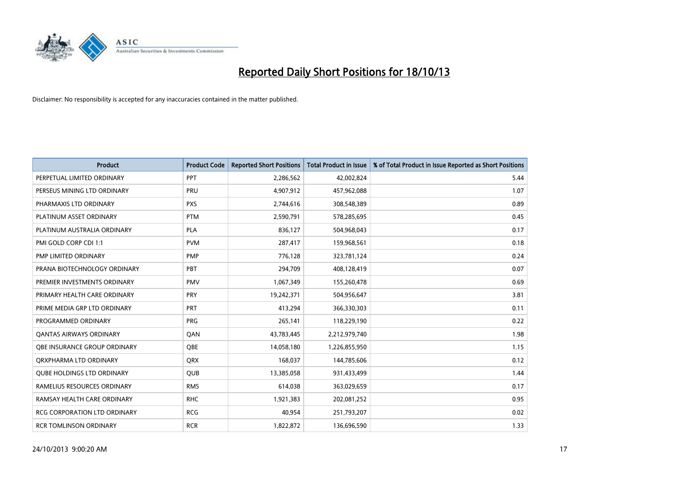

| <b>Product</b>                      | <b>Product Code</b> | <b>Reported Short Positions</b> | <b>Total Product in Issue</b> | % of Total Product in Issue Reported as Short Positions |
|-------------------------------------|---------------------|---------------------------------|-------------------------------|---------------------------------------------------------|
| PERPETUAL LIMITED ORDINARY          | <b>PPT</b>          | 2,286,562                       | 42,002,824                    | 5.44                                                    |
| PERSEUS MINING LTD ORDINARY         | PRU                 | 4,907,912                       | 457,962,088                   | 1.07                                                    |
| PHARMAXIS LTD ORDINARY              | <b>PXS</b>          | 2,744,616                       | 308,548,389                   | 0.89                                                    |
| PLATINUM ASSET ORDINARY             | <b>PTM</b>          | 2,590,791                       | 578,285,695                   | 0.45                                                    |
| PLATINUM AUSTRALIA ORDINARY         | <b>PLA</b>          | 836,127                         | 504,968,043                   | 0.17                                                    |
| PMI GOLD CORP CDI 1:1               | <b>PVM</b>          | 287,417                         | 159,968,561                   | 0.18                                                    |
| PMP LIMITED ORDINARY                | <b>PMP</b>          | 776,128                         | 323,781,124                   | 0.24                                                    |
| PRANA BIOTECHNOLOGY ORDINARY        | PBT                 | 294,709                         | 408,128,419                   | 0.07                                                    |
| PREMIER INVESTMENTS ORDINARY        | <b>PMV</b>          | 1,067,349                       | 155,260,478                   | 0.69                                                    |
| PRIMARY HEALTH CARE ORDINARY        | <b>PRY</b>          | 19,242,371                      | 504,956,647                   | 3.81                                                    |
| PRIME MEDIA GRP LTD ORDINARY        | <b>PRT</b>          | 413,294                         | 366,330,303                   | 0.11                                                    |
| PROGRAMMED ORDINARY                 | <b>PRG</b>          | 265,141                         | 118,229,190                   | 0.22                                                    |
| <b>QANTAS AIRWAYS ORDINARY</b>      | QAN                 | 43,783,445                      | 2,212,979,740                 | 1.98                                                    |
| OBE INSURANCE GROUP ORDINARY        | <b>OBE</b>          | 14,058,180                      | 1,226,855,950                 | 1.15                                                    |
| ORXPHARMA LTD ORDINARY              | <b>QRX</b>          | 168,037                         | 144,785,606                   | 0.12                                                    |
| <b>QUBE HOLDINGS LTD ORDINARY</b>   | QUB                 | 13,385,058                      | 931,433,499                   | 1.44                                                    |
| RAMELIUS RESOURCES ORDINARY         | <b>RMS</b>          | 614,038                         | 363,029,659                   | 0.17                                                    |
| RAMSAY HEALTH CARE ORDINARY         | <b>RHC</b>          | 1,921,383                       | 202,081,252                   | 0.95                                                    |
| <b>RCG CORPORATION LTD ORDINARY</b> | <b>RCG</b>          | 40,954                          | 251,793,207                   | 0.02                                                    |
| <b>RCR TOMLINSON ORDINARY</b>       | <b>RCR</b>          | 1,822,872                       | 136,696,590                   | 1.33                                                    |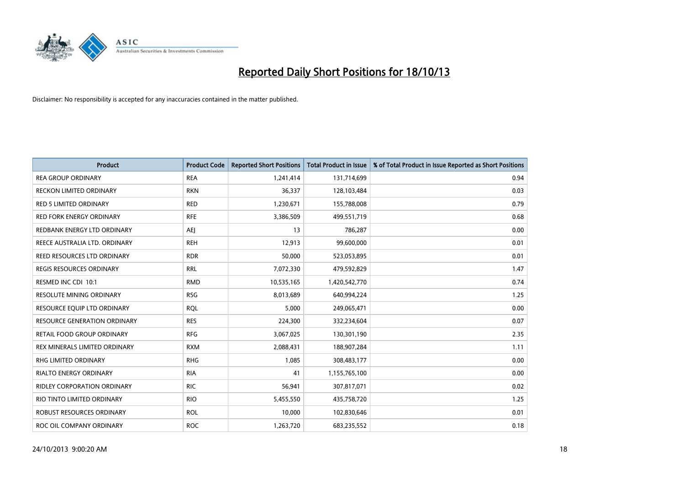

| <b>Product</b>                      | <b>Product Code</b> | <b>Reported Short Positions</b> | <b>Total Product in Issue</b> | % of Total Product in Issue Reported as Short Positions |
|-------------------------------------|---------------------|---------------------------------|-------------------------------|---------------------------------------------------------|
| <b>REA GROUP ORDINARY</b>           | <b>REA</b>          | 1,241,414                       | 131,714,699                   | 0.94                                                    |
| RECKON LIMITED ORDINARY             | <b>RKN</b>          | 36,337                          | 128,103,484                   | 0.03                                                    |
| <b>RED 5 LIMITED ORDINARY</b>       | <b>RED</b>          | 1,230,671                       | 155,788,008                   | 0.79                                                    |
| <b>RED FORK ENERGY ORDINARY</b>     | <b>RFE</b>          | 3,386,509                       | 499,551,719                   | 0.68                                                    |
| REDBANK ENERGY LTD ORDINARY         | <b>AEI</b>          | 13                              | 786,287                       | 0.00                                                    |
| REECE AUSTRALIA LTD. ORDINARY       | <b>REH</b>          | 12,913                          | 99,600,000                    | 0.01                                                    |
| REED RESOURCES LTD ORDINARY         | <b>RDR</b>          | 50,000                          | 523,053,895                   | 0.01                                                    |
| REGIS RESOURCES ORDINARY            | <b>RRL</b>          | 7,072,330                       | 479,592,829                   | 1.47                                                    |
| RESMED INC CDI 10:1                 | <b>RMD</b>          | 10,535,165                      | 1,420,542,770                 | 0.74                                                    |
| <b>RESOLUTE MINING ORDINARY</b>     | <b>RSG</b>          | 8,013,689                       | 640,994,224                   | 1.25                                                    |
| RESOURCE EQUIP LTD ORDINARY         | <b>RQL</b>          | 5,000                           | 249,065,471                   | 0.00                                                    |
| <b>RESOURCE GENERATION ORDINARY</b> | <b>RES</b>          | 224,300                         | 332,234,604                   | 0.07                                                    |
| RETAIL FOOD GROUP ORDINARY          | <b>RFG</b>          | 3,067,025                       | 130,301,190                   | 2.35                                                    |
| REX MINERALS LIMITED ORDINARY       | <b>RXM</b>          | 2,088,431                       | 188,907,284                   | 1.11                                                    |
| <b>RHG LIMITED ORDINARY</b>         | <b>RHG</b>          | 1,085                           | 308,483,177                   | 0.00                                                    |
| RIALTO ENERGY ORDINARY              | <b>RIA</b>          | 41                              | 1,155,765,100                 | 0.00                                                    |
| RIDLEY CORPORATION ORDINARY         | <b>RIC</b>          | 56,941                          | 307,817,071                   | 0.02                                                    |
| RIO TINTO LIMITED ORDINARY          | <b>RIO</b>          | 5,455,550                       | 435,758,720                   | 1.25                                                    |
| <b>ROBUST RESOURCES ORDINARY</b>    | <b>ROL</b>          | 10,000                          | 102,830,646                   | 0.01                                                    |
| ROC OIL COMPANY ORDINARY            | <b>ROC</b>          | 1,263,720                       | 683,235,552                   | 0.18                                                    |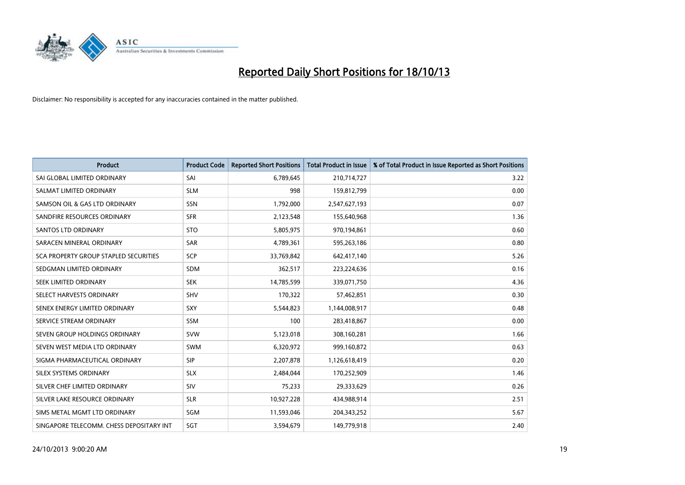

| <b>Product</b>                           | <b>Product Code</b> | <b>Reported Short Positions</b> | <b>Total Product in Issue</b> | % of Total Product in Issue Reported as Short Positions |
|------------------------------------------|---------------------|---------------------------------|-------------------------------|---------------------------------------------------------|
| SAI GLOBAL LIMITED ORDINARY              | SAI                 | 6,789,645                       | 210,714,727                   | 3.22                                                    |
| SALMAT LIMITED ORDINARY                  | <b>SLM</b>          | 998                             | 159,812,799                   | 0.00                                                    |
| SAMSON OIL & GAS LTD ORDINARY            | <b>SSN</b>          | 1,792,000                       | 2,547,627,193                 | 0.07                                                    |
| SANDFIRE RESOURCES ORDINARY              | <b>SFR</b>          | 2,123,548                       | 155,640,968                   | 1.36                                                    |
| <b>SANTOS LTD ORDINARY</b>               | <b>STO</b>          | 5,805,975                       | 970,194,861                   | 0.60                                                    |
| SARACEN MINERAL ORDINARY                 | <b>SAR</b>          | 4,789,361                       | 595,263,186                   | 0.80                                                    |
| SCA PROPERTY GROUP STAPLED SECURITIES    | <b>SCP</b>          | 33,769,842                      | 642,417,140                   | 5.26                                                    |
| SEDGMAN LIMITED ORDINARY                 | <b>SDM</b>          | 362,517                         | 223,224,636                   | 0.16                                                    |
| SEEK LIMITED ORDINARY                    | <b>SEK</b>          | 14,785,599                      | 339,071,750                   | 4.36                                                    |
| SELECT HARVESTS ORDINARY                 | <b>SHV</b>          | 170,322                         | 57,462,851                    | 0.30                                                    |
| SENEX ENERGY LIMITED ORDINARY            | <b>SXY</b>          | 5,544,823                       | 1,144,008,917                 | 0.48                                                    |
| SERVICE STREAM ORDINARY                  | SSM                 | 100                             | 283,418,867                   | 0.00                                                    |
| SEVEN GROUP HOLDINGS ORDINARY            | <b>SVW</b>          | 5,123,018                       | 308,160,281                   | 1.66                                                    |
| SEVEN WEST MEDIA LTD ORDINARY            | <b>SWM</b>          | 6,320,972                       | 999,160,872                   | 0.63                                                    |
| SIGMA PHARMACEUTICAL ORDINARY            | <b>SIP</b>          | 2,207,878                       | 1,126,618,419                 | 0.20                                                    |
| SILEX SYSTEMS ORDINARY                   | <b>SLX</b>          | 2,484,044                       | 170,252,909                   | 1.46                                                    |
| SILVER CHEF LIMITED ORDINARY             | SIV                 | 75,233                          | 29,333,629                    | 0.26                                                    |
| SILVER LAKE RESOURCE ORDINARY            | <b>SLR</b>          | 10,927,228                      | 434,988,914                   | 2.51                                                    |
| SIMS METAL MGMT LTD ORDINARY             | <b>SGM</b>          | 11,593,046                      | 204,343,252                   | 5.67                                                    |
| SINGAPORE TELECOMM. CHESS DEPOSITARY INT | SGT                 | 3,594,679                       | 149,779,918                   | 2.40                                                    |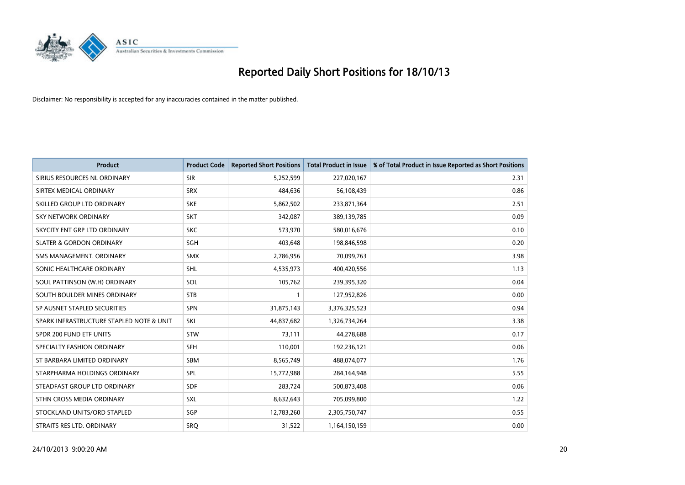

| <b>Product</b>                           | <b>Product Code</b> | <b>Reported Short Positions</b> | <b>Total Product in Issue</b> | % of Total Product in Issue Reported as Short Positions |
|------------------------------------------|---------------------|---------------------------------|-------------------------------|---------------------------------------------------------|
| SIRIUS RESOURCES NL ORDINARY             | <b>SIR</b>          | 5,252,599                       | 227,020,167                   | 2.31                                                    |
| SIRTEX MEDICAL ORDINARY                  | <b>SRX</b>          | 484,636                         | 56,108,439                    | 0.86                                                    |
| SKILLED GROUP LTD ORDINARY               | <b>SKE</b>          | 5,862,502                       | 233,871,364                   | 2.51                                                    |
| SKY NETWORK ORDINARY                     | <b>SKT</b>          | 342,087                         | 389,139,785                   | 0.09                                                    |
| SKYCITY ENT GRP LTD ORDINARY             | <b>SKC</b>          | 573,970                         | 580,016,676                   | 0.10                                                    |
| <b>SLATER &amp; GORDON ORDINARY</b>      | SGH                 | 403,648                         | 198,846,598                   | 0.20                                                    |
| SMS MANAGEMENT, ORDINARY                 | <b>SMX</b>          | 2,786,956                       | 70,099,763                    | 3.98                                                    |
| SONIC HEALTHCARE ORDINARY                | <b>SHL</b>          | 4,535,973                       | 400,420,556                   | 1.13                                                    |
| SOUL PATTINSON (W.H) ORDINARY            | SOL                 | 105,762                         | 239,395,320                   | 0.04                                                    |
| SOUTH BOULDER MINES ORDINARY             | <b>STB</b>          | 1                               | 127,952,826                   | 0.00                                                    |
| SP AUSNET STAPLED SECURITIES             | <b>SPN</b>          | 31,875,143                      | 3,376,325,523                 | 0.94                                                    |
| SPARK INFRASTRUCTURE STAPLED NOTE & UNIT | SKI                 | 44,837,682                      | 1,326,734,264                 | 3.38                                                    |
| SPDR 200 FUND ETF UNITS                  | <b>STW</b>          | 73,111                          | 44,278,688                    | 0.17                                                    |
| SPECIALTY FASHION ORDINARY               | SFH                 | 110,001                         | 192,236,121                   | 0.06                                                    |
| ST BARBARA LIMITED ORDINARY              | <b>SBM</b>          | 8,565,749                       | 488,074,077                   | 1.76                                                    |
| STARPHARMA HOLDINGS ORDINARY             | SPL                 | 15,772,988                      | 284,164,948                   | 5.55                                                    |
| STEADFAST GROUP LTD ORDINARY             | <b>SDF</b>          | 283,724                         | 500,873,408                   | 0.06                                                    |
| STHN CROSS MEDIA ORDINARY                | <b>SXL</b>          | 8,632,643                       | 705,099,800                   | 1.22                                                    |
| STOCKLAND UNITS/ORD STAPLED              | SGP                 | 12,783,260                      | 2,305,750,747                 | 0.55                                                    |
| STRAITS RES LTD. ORDINARY                | SRQ                 | 31,522                          | 1,164,150,159                 | 0.00                                                    |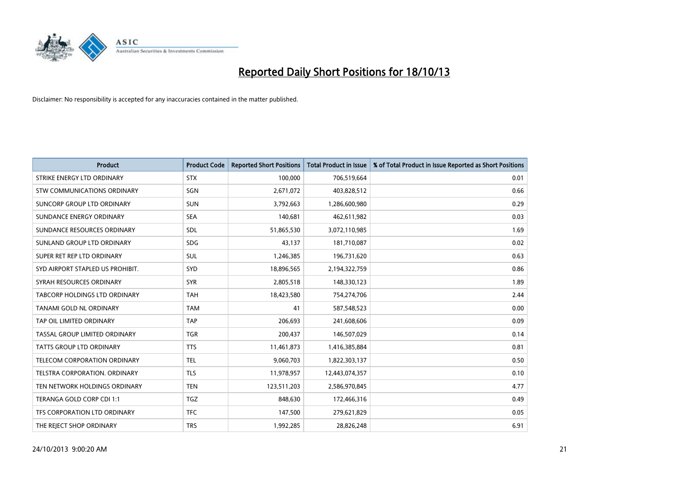

| <b>Product</b>                   | <b>Product Code</b> | <b>Reported Short Positions</b> | <b>Total Product in Issue</b> | % of Total Product in Issue Reported as Short Positions |
|----------------------------------|---------------------|---------------------------------|-------------------------------|---------------------------------------------------------|
| STRIKE ENERGY LTD ORDINARY       | <b>STX</b>          | 100,000                         | 706,519,664                   | 0.01                                                    |
| STW COMMUNICATIONS ORDINARY      | SGN                 | 2,671,072                       | 403,828,512                   | 0.66                                                    |
| SUNCORP GROUP LTD ORDINARY       | <b>SUN</b>          | 3,792,663                       | 1,286,600,980                 | 0.29                                                    |
| SUNDANCE ENERGY ORDINARY         | <b>SEA</b>          | 140,681                         | 462,611,982                   | 0.03                                                    |
| SUNDANCE RESOURCES ORDINARY      | SDL                 | 51,865,530                      | 3,072,110,985                 | 1.69                                                    |
| SUNLAND GROUP LTD ORDINARY       | <b>SDG</b>          | 43,137                          | 181,710,087                   | 0.02                                                    |
| SUPER RET REP LTD ORDINARY       | SUL                 | 1,246,385                       | 196,731,620                   | 0.63                                                    |
| SYD AIRPORT STAPLED US PROHIBIT. | <b>SYD</b>          | 18,896,565                      | 2,194,322,759                 | 0.86                                                    |
| SYRAH RESOURCES ORDINARY         | <b>SYR</b>          | 2,805,518                       | 148,330,123                   | 1.89                                                    |
| TABCORP HOLDINGS LTD ORDINARY    | <b>TAH</b>          | 18,423,580                      | 754,274,706                   | 2.44                                                    |
| TANAMI GOLD NL ORDINARY          | <b>TAM</b>          | 41                              | 587,548,523                   | 0.00                                                    |
| TAP OIL LIMITED ORDINARY         | <b>TAP</b>          | 206,693                         | 241,608,606                   | 0.09                                                    |
| TASSAL GROUP LIMITED ORDINARY    | <b>TGR</b>          | 200,437                         | 146,507,029                   | 0.14                                                    |
| <b>TATTS GROUP LTD ORDINARY</b>  | <b>TTS</b>          | 11,461,873                      | 1,416,385,884                 | 0.81                                                    |
| TELECOM CORPORATION ORDINARY     | <b>TEL</b>          | 9,060,703                       | 1,822,303,137                 | 0.50                                                    |
| TELSTRA CORPORATION, ORDINARY    | <b>TLS</b>          | 11,978,957                      | 12,443,074,357                | 0.10                                                    |
| TEN NETWORK HOLDINGS ORDINARY    | <b>TEN</b>          | 123,511,203                     | 2,586,970,845                 | 4.77                                                    |
| TERANGA GOLD CORP CDI 1:1        | <b>TGZ</b>          | 848,630                         | 172,466,316                   | 0.49                                                    |
| TFS CORPORATION LTD ORDINARY     | <b>TFC</b>          | 147,500                         | 279,621,829                   | 0.05                                                    |
| THE REJECT SHOP ORDINARY         | <b>TRS</b>          | 1,992,285                       | 28,826,248                    | 6.91                                                    |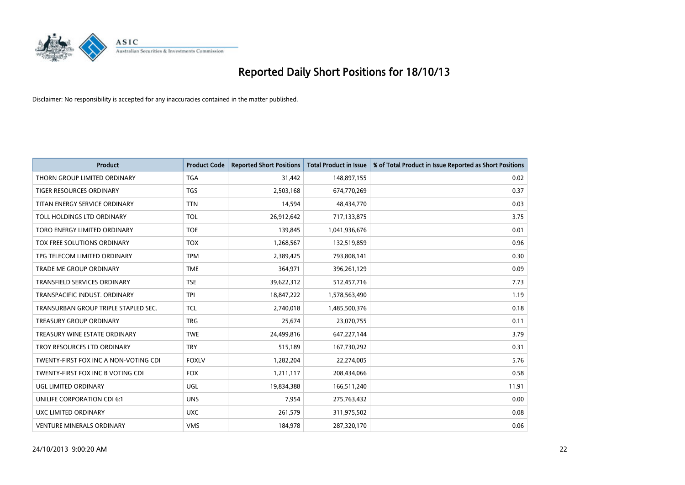

| <b>Product</b>                        | <b>Product Code</b> | <b>Reported Short Positions</b> | <b>Total Product in Issue</b> | % of Total Product in Issue Reported as Short Positions |
|---------------------------------------|---------------------|---------------------------------|-------------------------------|---------------------------------------------------------|
| THORN GROUP LIMITED ORDINARY          | <b>TGA</b>          | 31,442                          | 148,897,155                   | 0.02                                                    |
| TIGER RESOURCES ORDINARY              | <b>TGS</b>          | 2,503,168                       | 674,770,269                   | 0.37                                                    |
| TITAN ENERGY SERVICE ORDINARY         | <b>TTN</b>          | 14,594                          | 48,434,770                    | 0.03                                                    |
| TOLL HOLDINGS LTD ORDINARY            | <b>TOL</b>          | 26,912,642                      | 717,133,875                   | 3.75                                                    |
| TORO ENERGY LIMITED ORDINARY          | <b>TOE</b>          | 139,845                         | 1,041,936,676                 | 0.01                                                    |
| TOX FREE SOLUTIONS ORDINARY           | <b>TOX</b>          | 1,268,567                       | 132,519,859                   | 0.96                                                    |
| TPG TELECOM LIMITED ORDINARY          | <b>TPM</b>          | 2,389,425                       | 793,808,141                   | 0.30                                                    |
| TRADE ME GROUP ORDINARY               | <b>TME</b>          | 364,971                         | 396,261,129                   | 0.09                                                    |
| <b>TRANSFIELD SERVICES ORDINARY</b>   | <b>TSE</b>          | 39,622,312                      | 512,457,716                   | 7.73                                                    |
| TRANSPACIFIC INDUST, ORDINARY         | <b>TPI</b>          | 18,847,222                      | 1,578,563,490                 | 1.19                                                    |
| TRANSURBAN GROUP TRIPLE STAPLED SEC.  | TCL                 | 2,740,018                       | 1,485,500,376                 | 0.18                                                    |
| <b>TREASURY GROUP ORDINARY</b>        | <b>TRG</b>          | 25,674                          | 23,070,755                    | 0.11                                                    |
| TREASURY WINE ESTATE ORDINARY         | <b>TWE</b>          | 24,499,816                      | 647,227,144                   | 3.79                                                    |
| TROY RESOURCES LTD ORDINARY           | <b>TRY</b>          | 515,189                         | 167,730,292                   | 0.31                                                    |
| TWENTY-FIRST FOX INC A NON-VOTING CDI | <b>FOXLV</b>        | 1,282,204                       | 22,274,005                    | 5.76                                                    |
| TWENTY-FIRST FOX INC B VOTING CDI     | <b>FOX</b>          | 1,211,117                       | 208,434,066                   | 0.58                                                    |
| UGL LIMITED ORDINARY                  | UGL                 | 19,834,388                      | 166,511,240                   | 11.91                                                   |
| UNILIFE CORPORATION CDI 6:1           | <b>UNS</b>          | 7,954                           | 275,763,432                   | 0.00                                                    |
| <b>UXC LIMITED ORDINARY</b>           | <b>UXC</b>          | 261,579                         | 311,975,502                   | 0.08                                                    |
| <b>VENTURE MINERALS ORDINARY</b>      | <b>VMS</b>          | 184,978                         | 287,320,170                   | 0.06                                                    |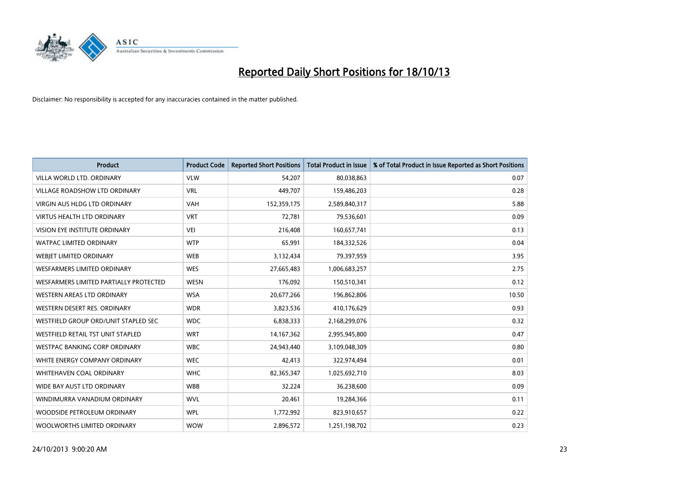

| <b>Product</b>                         | <b>Product Code</b> | <b>Reported Short Positions</b> | <b>Total Product in Issue</b> | % of Total Product in Issue Reported as Short Positions |
|----------------------------------------|---------------------|---------------------------------|-------------------------------|---------------------------------------------------------|
| VILLA WORLD LTD, ORDINARY              | <b>VLW</b>          | 54,207                          | 80,038,863                    | 0.07                                                    |
| VILLAGE ROADSHOW LTD ORDINARY          | <b>VRL</b>          | 449,707                         | 159,486,203                   | 0.28                                                    |
| <b>VIRGIN AUS HLDG LTD ORDINARY</b>    | <b>VAH</b>          | 152,359,175                     | 2,589,840,317                 | 5.88                                                    |
| <b>VIRTUS HEALTH LTD ORDINARY</b>      | <b>VRT</b>          | 72,781                          | 79,536,601                    | 0.09                                                    |
| <b>VISION EYE INSTITUTE ORDINARY</b>   | VEI                 | 216,408                         | 160,657,741                   | 0.13                                                    |
| <b>WATPAC LIMITED ORDINARY</b>         | <b>WTP</b>          | 65,991                          | 184,332,526                   | 0.04                                                    |
| WEBJET LIMITED ORDINARY                | <b>WEB</b>          | 3,132,434                       | 79,397,959                    | 3.95                                                    |
| WESFARMERS LIMITED ORDINARY            | <b>WES</b>          | 27,665,483                      | 1,006,683,257                 | 2.75                                                    |
| WESFARMERS LIMITED PARTIALLY PROTECTED | <b>WESN</b>         | 176,092                         | 150,510,341                   | 0.12                                                    |
| WESTERN AREAS LTD ORDINARY             | <b>WSA</b>          | 20,677,266                      | 196,862,806                   | 10.50                                                   |
| WESTERN DESERT RES. ORDINARY           | <b>WDR</b>          | 3,823,536                       | 410,176,629                   | 0.93                                                    |
| WESTFIELD GROUP ORD/UNIT STAPLED SEC   | <b>WDC</b>          | 6,838,333                       | 2,168,299,076                 | 0.32                                                    |
| WESTFIELD RETAIL TST UNIT STAPLED      | <b>WRT</b>          | 14, 167, 362                    | 2,995,945,800                 | 0.47                                                    |
| <b>WESTPAC BANKING CORP ORDINARY</b>   | <b>WBC</b>          | 24,943,440                      | 3,109,048,309                 | 0.80                                                    |
| WHITE ENERGY COMPANY ORDINARY          | <b>WEC</b>          | 42,413                          | 322,974,494                   | 0.01                                                    |
| WHITEHAVEN COAL ORDINARY               | <b>WHC</b>          | 82,365,347                      | 1,025,692,710                 | 8.03                                                    |
| WIDE BAY AUST LTD ORDINARY             | <b>WBB</b>          | 32,224                          | 36,238,600                    | 0.09                                                    |
| WINDIMURRA VANADIUM ORDINARY           | <b>WVL</b>          | 20,461                          | 19,284,366                    | 0.11                                                    |
| WOODSIDE PETROLEUM ORDINARY            | <b>WPL</b>          | 1,772,992                       | 823,910,657                   | 0.22                                                    |
| WOOLWORTHS LIMITED ORDINARY            | <b>WOW</b>          | 2,896,572                       | 1,251,198,702                 | 0.23                                                    |